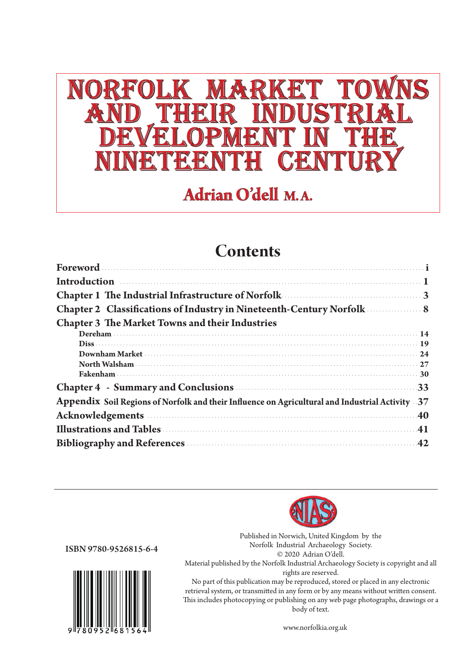# NORFOLK MARKET TOWNS<br>AND THEIR INDUSTRIAL<br>DEVELOPMENT IN THE NINETEENTH CENTURY

**Adrian O'dell M.A.** 

## **Contents**

| <b>Introduction</b> 1                                                                                        |  |
|--------------------------------------------------------------------------------------------------------------|--|
| Chapter 1 The Industrial Infrastructure of Norfolk <b>Chapter 1</b> The Industrial Infrastructure of Norfolk |  |
| Chapter 2 Classifications of Industry in Nineteenth-Century Norfolk 38                                       |  |
| <b>Chapter 3 The Market Towns and their Industries</b>                                                       |  |
| Dereham                                                                                                      |  |
| $Dis$ [19]                                                                                                   |  |
|                                                                                                              |  |
|                                                                                                              |  |
|                                                                                                              |  |
| Chapter 4 - Summary and Conclusions 33                                                                       |  |
| Appendix Soil Regions of Norfolk and their Influence on Agricultural and Industrial Activity 37              |  |
| Acknowledgements 40                                                                                          |  |
|                                                                                                              |  |
| Bibliography and References <b>Exeting Strategies</b> 42                                                     |  |



ISBN 9780-9526815-6-4



Published in Norwich, United Kingdom by the Norfolk Industrial Archaeology Society. © 2020 Adrian O'dell. Material published by the Norfolk Industrial Archaeology Society is copyright and all rights are reserved.

No part of this publication may be reproduced, stored or placed in any electronic retrieval system, or transmitted in any form or by any means without written consent. This includes photocopying or publishing on any web page photographs, drawings or a body of text.

www.norfolkia.org.uk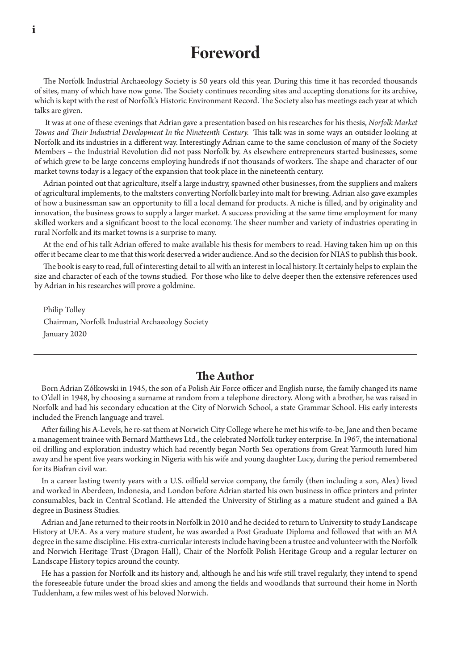## **Foreword**

The Norfolk Industrial Archaeology Society is 50 years old this year. During this time it has recorded thousands of sites, many of which have now gone. The Society continues recording sites and accepting donations for its archive, which is kept with the rest of Norfolk's Historic Environment Record. The Society also has meetings each year at which talks are given.

 It was at one of these evenings that Adrian gave a presentation based on his researches for his thesis, *Norfolk Market Towns and Their Industrial Development In the Nineteenth Century.* This talk was in some ways an outsider looking at Norfolk and its industries in a different way. Interestingly Adrian came to the same conclusion of many of the Society Members – the Industrial Revolution did not pass Norfolk by. As elsewhere entrepreneurs started businesses, some of which grew to be large concerns employing hundreds if not thousands of workers. The shape and character of our market towns today is a legacy of the expansion that took place in the nineteenth century.

Adrian pointed out that agriculture, itself a large industry, spawned other businesses, from the suppliers and makers of agricultural implements, to the maltsters converting Norfolk barley into malt for brewing. Adrian also gave examples of how a businessman saw an opportunity to fill a local demand for products. A niche is filled, and by originality and innovation, the business grows to supply a larger market. A success providing at the same time employment for many skilled workers and a significant boost to the local economy. The sheer number and variety of industries operating in rural Norfolk and its market towns is a surprise to many.

At the end of his talk Adrian offered to make available his thesis for members to read. Having taken him up on this offer it became clear to me that this work deserved a wider audience. And so the decision for NIAS to publish this book.

The book is easy to read, full of interesting detail to all with an interest in local history. It certainly helps to explain the size and character of each of the towns studied. For those who like to delve deeper then the extensive references used by Adrian in his researches will prove a goldmine.

Philip Tolley Chairman, Norfolk Industrial Archaeology Society January 2020

#### **The Author**

Born Adrian Zółkowski in 1945, the son of a Polish Air Force officer and English nurse, the family changed its name to O'dell in 1948, by choosing a surname at random from a telephone directory. Along with a brother, he was raised in Norfolk and had his secondary education at the City of Norwich School, a state Grammar School. His early interests included the French language and travel.

After failing his A-Levels, he re-sat them at Norwich City College where he met his wife-to-be, Jane and then became a management trainee with Bernard Matthews Ltd., the celebrated Norfolk turkey enterprise. In 1967, the international oil drilling and exploration industry which had recently began North Sea operations from Great Yarmouth lured him away and he spent five years working in Nigeria with his wife and young daughter Lucy, during the period remembered for its Biafran civil war.

In a career lasting twenty years with a U.S. oilfield service company, the family (then including a son, Alex) lived and worked in Aberdeen, Indonesia, and London before Adrian started his own business in office printers and printer consumables, back in Central Scotland. He attended the University of Stirling as a mature student and gained a BA degree in Business Studies.

Adrian and Jane returned to their roots in Norfolk in 2010 and he decided to return to University to study Landscape History at UEA. As a very mature student, he was awarded a Post Graduate Diploma and followed that with an MA degree in the same discipline. His extra-curricular interests include having been a trustee and volunteer with the Norfolk and Norwich Heritage Trust (Dragon Hall), Chair of the Norfolk Polish Heritage Group and a regular lecturer on Landscape History topics around the county.

He has a passion for Norfolk and its history and, although he and his wife still travel regularly, they intend to spend the foreseeable future under the broad skies and among the fields and woodlands that surround their home in North Tuddenham, a few miles west of his beloved Norwich.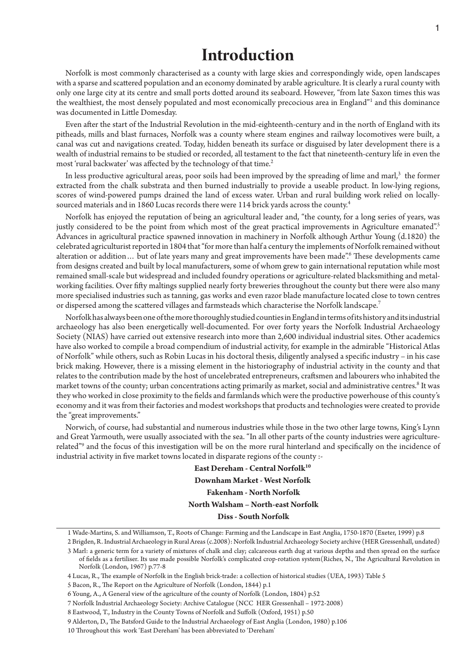### **Introduction**

Norfolk is most commonly characterised as a county with large skies and correspondingly wide, open landscapes with a sparse and scattered population and an economy dominated by arable agriculture. It is clearly a rural county with only one large city at its centre and small ports dotted around its seaboard. However, "from late Saxon times this was the wealthiest, the most densely populated and most economically precocious area in England"<sup>1</sup> and this dominance was documented in Little Domesday.

Even after the start of the Industrial Revolution in the mid-eighteenth-century and in the north of England with its pitheads, mills and blast furnaces, Norfolk was a county where steam engines and railway locomotives were built, a canal was cut and navigations created. Today, hidden beneath its surface or disguised by later development there is a wealth of industrial remains to be studied or recorded, all testament to the fact that nineteenth-century life in even the most 'rural backwater' was affected by the technology of that time.<sup>2</sup> Ì.

In less productive agricultural areas, poor soils had been improved by the spreading of lime and marl,<sup>3</sup> the former extracted from the chalk substrata and then burned industrially to provide a useable product. In low-lying regions, scores of wind-powered pumps drained the land of excess water. Urban and rural building work relied on locallysourced materials and in 1860 Lucas records there were 114 brick yards across the county.<sup>4</sup>

Norfolk has enjoyed the reputation of being an agricultural leader and, "the county, for a long series of years, was justly considered to be the point from which most of the great practical improvements in Agriculture emanated".<sup>5</sup> Advances in agricultural practice spawned innovation in machinery in Norfolk although Arthur Young (d.1820) the celebrated agriculturist reported in 1804 that "for more than half a century the implements of Norfolk remained without alteration or addition... but of late years many and great improvements have been made". These developments came from designs created and built by local manufacturers, some of whom grew to gain international reputation while most remained small-scale but widespread and included foundry operations or agriculture-related blacksmithing and metalworking facilities. Over fifty maltings supplied nearly forty breweries throughout the county but there were also many more specialised industries such as tanning, gas works and even razor blade manufacture located close to town centres or dispersed among the scattered villages and farmsteads which characterise the Norfolk landscape.7

Norfolk has always been one of the more thoroughly studied counties in England in terms of its history and its industrial archaeology has also been energetically well-documented. For over forty years the Norfolk Industrial Archaeology Society (NIAS) have carried out extensive research into more than 2,600 individual industrial sites. Other academics have also worked to compile a broad compendium of industrial activity, for example in the admirable "Historical Atlas of Norfolk" while others, such as Robin Lucas in his doctoral thesis, diligently analysed a specific industry – in his case brick making. However, there is a missing element in the historiography of industrial activity in the county and that relates to the contribution made by the host of uncelebrated entrepreneurs, craftsmen and labourers who inhabited the market towns of the county; urban concentrations acting primarily as market, social and administrative centres.<sup>8</sup> It was they who worked in close proximity to the fields and farmlands which were the productive powerhouse of this county's economy and it was from their factories and modest workshops that products and technologies were created to provide the "great improvements."

Norwich, of course, had substantial and numerous industries while those in the two other large towns, King's Lynn and Great Yarmouth, were usually associated with the sea. "In all other parts of the county industries were agriculturerelated"<sup>9</sup> and the focus of this investigation will be on the more rural hinterland and specifically on the incidence of industrial activity in five market towns located in disparate regions of the county :-

> East Dereham - Central Norfolk<sup>10</sup> **Downham Market - West Norfolk Fakenham - North Norfolk North Walsham – North-east Norfolk Diss - South Norfolk**

<sup>1</sup> Wade-Martins, S. and Williamson, T., Roots of Change: Farming and the Landscape in East Anglia, 1750-1870 (Exeter, 1999) p.8

<sup>2</sup> Brigden, R. Industrial Archaeology in Rural Areas (c.2008): Norfolk Industrial Archaeology Society archive (HER Gressenhall, undated) 3 Marl: a generic term for a variety of mixtures of chalk and clay; calcareous earth dug at various depths and then spread on the surface

of fields as a fertiliser. Its use made possible Norfolk's complicated crop-rotation system(Riches, N., The Agricultural Revolution in Norfolk (London, 1967) p.77-8

<sup>4</sup> Lucas, R., The example of Norfolk in the English brick-trade: a collection of historical studies (UEA, 1993) Table 5

<sup>5</sup> Bacon, R., The Report on the Agriculture of Norfolk (London, 1844) p.1

<sup>6</sup> Young, A., A General view of the agriculture of the county of Norfolk (London, 1804) p.52

<sup>7</sup> Norfolk Industrial Archaeology Society: Archive Catalogue (NCC HER Gressenhall – 1972-2008)

<sup>8</sup> Eastwood, T., Industry in the County Towns of Norfolk and Suffolk (Oxford, 1951) p.50

<sup>9</sup> Alderton, D., The Batsford Guide to the Industrial Archaeology of East Anglia (London, 1980) p.106

<sup>10</sup> Throughout this work 'East Dereham' has been abbreviated to 'Dereham'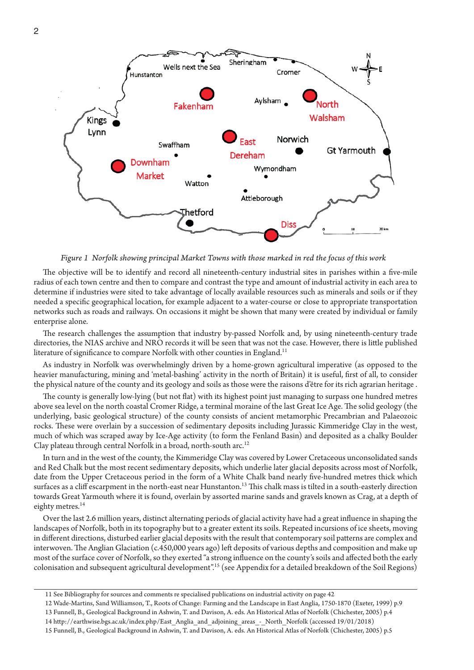

*Figure 1 Norfolk showing principal Market Towns with those marked in red the focus of this work* 

The objective will be to identify and record all nineteenth-century industrial sites in parishes within a five-mile radius of each town centre and then to compare and contrast the type and amount of industrial activity in each area to determine if industries were sited to take advantage of locally available resources such as minerals and soils or if they needed a specific geographical location, for example adjacent to a water-course or close to appropriate transportation networks such as roads and railways. On occasions it might be shown that many were created by individual or family enterprise alone.

The research challenges the assumption that industry by-passed Norfolk and, by using nineteenth-century trade directories, the NIAS archive and NRO records it will be seen that was not the case. However, there is little published literature of significance to compare Norfolk with other counties in England.<sup>11</sup>

As industry in Norfolk was overwhelmingly driven by a home-grown agricultural imperative (as opposed to the heavier manufacturing, mining and 'metal-bashing' activity in the north of Britain) it is useful, first of all, to consider the physical nature of the county and its geology and soils as those were the raisons d'être for its rich agrarian heritage .

The county is generally low-lying (but not flat) with its highest point just managing to surpass one hundred metres above sea level on the north coastal Cromer Ridge, a terminal moraine of the last Great Ice Age. The solid geology (the underlying, basic geological structure) of the county consists of ancient metamorphic Precambrian and Palaeozoic rocks. These were overlain by a succession of sedimentary deposits including Jurassic Kimmeridge Clay in the west, much of which was scraped away by Ice-Age activity (to form the Fenland Basin) and deposited as a chalky Boulder Clay plateau through central Norfolk in a broad, north-south arc.<sup>12</sup>

In turn and in the west of the county, the Kimmeridge Clay was covered by Lower Cretaceous unconsolidated sands and Red Chalk but the most recent sedimentary deposits, which underlie later glacial deposits across most of Norfolk, date from the Upper Cretaceous period in the form of a White Chalk band nearly five-hundred metres thick which surfaces as a cliff escarpment in the north-east near Hunstanton.<sup>13</sup> This chalk mass is tilted in a south-easterly direction towards Great Yarmouth where it is found, overlain by assorted marine sands and gravels known as Crag, at a depth of eighty metres.<sup>14</sup>

Over the last 2.6 million years, distinct alternating periods of glacial activity have had a great influence in shaping the landscapes of Norfolk, both in its topography but to a greater extent its soils. Repeated incursions of ice sheets, moving in different directions, disturbed earlier glacial deposits with the result that contemporary soil patterns are complex and interwoven. The Anglian Glaciation (c.450,000 years ago) left deposits of various depths and composition and make up most of the surface cover of Norfolk, so they exerted "a strong influence on the county's soils and affected both the early colonisation and subsequent agricultural development".15 (see Appendix for a detailed breakdown of the Soil Regions)

<sup>11</sup> See Bibliography for sources and comments re specialised publications on industrial activity on page 42

<sup>12</sup> Wade-Martins, Sand Williamson, T., Roots of Change: Farming and the Landscape in East Anglia, 1750-1870 (Exeter, 1999) p.9

<sup>13</sup> Funnell, B., Geological Background in Ashwin, T. and Davison, A. eds. An Historical Atlas of Norfolk (Chichester, 2005) p.4

<sup>14</sup> http://earthwise.bgs.ac.uk/index.php/East\_Anglia\_and\_adjoining\_areas\_-\_North\_Norfolk (accessed 19/01/2018)

<sup>15</sup> Funnell, B., Geological Background in Ashwin, T. and Davison, A. eds. An Historical Atlas of Norfolk (Chichester, 2005) p.5